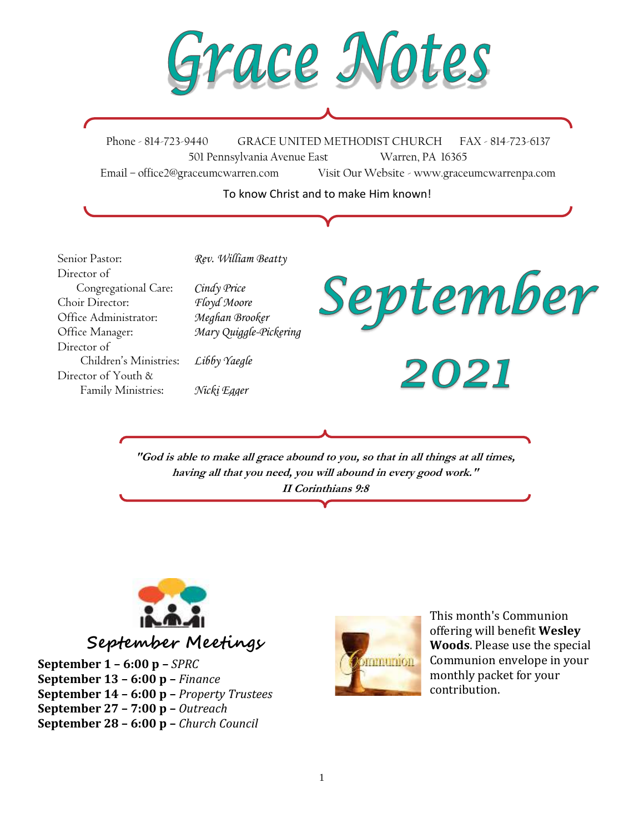$\overline{1}$ 

Phone - 814-723-9440 GRACE UNITED METHODIST CHURCH FAX - 814-723-6137 501 Pennsylvania Avenue East Warren, PA 16365 Email – office2@graceumcwarren.com Visit Our Website - www.graceumcwarrenpa.com

To know Christ and to make Him known!



**"God is able to make all grace abound to you, so that in all things at all times, having all that you need, you will abound in every good work." II Corinthians 9:8**



**September Meetings**

**September 1 – 6:00 p –** *SPRC* **September 13 – 6:00 p –** *Finance* **September 14 – 6:00 p –** *Property Trustees* **September 27 – 7:00 p –** *Outreach* **September 28 – 6:00 p –** *Church Council*



This month's Communion offering will benefit **Wesley Woods**. Please use the special Communion envelope in your monthly packet for your contribution.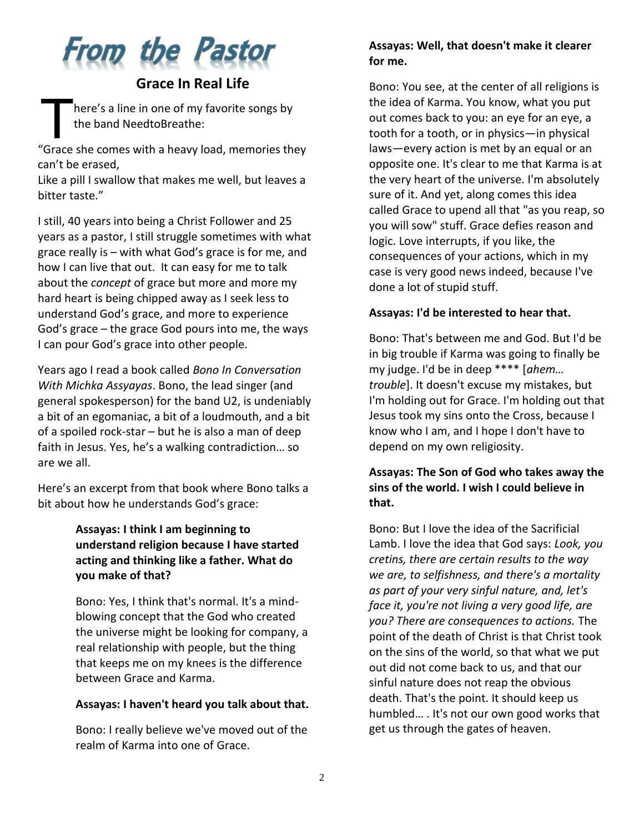

## **Grace In Real Life**

here's a line in one of my favorite songs by the band NeedtoBreathe:  $\prod$ 

"Grace she comes with a heavy load, memories they can't be erased,

Like a pill I swallow that makes me well, but leaves a bitter taste."

I still, 40 years into being a Christ Follower and 25 years as a pastor, I still struggle sometimes with what grace really is – with what God's grace is for me, and how I can live that out. It can easy for me to talk about the *concept* of grace but more and more my hard heart is being chipped away as I seek less to understand God's grace, and more to experience God's grace – the grace God pours into me, the ways I can pour God's grace into other people.

Years ago I read a book called *Bono In Conversation With Michka Assyayas*. Bono, the lead singer (and general spokesperson) for the band U2, is undeniably a bit of an egomaniac, a bit of a loudmouth, and a bit of a spoiled rock-star – but he is also a man of deep faith in Jesus. Yes, he's a walking contradiction… so are we all.

Here's an excerpt from that book where Bono talks a bit about how he understands God's grace:

### **Assayas: I think I am beginning to understand religion because I have started acting and thinking like a father. What do you make of that?**

Bono: Yes, I think that's normal. It's a mindblowing concept that the God who created the universe might be looking for company, a real relationship with people, but the thing that keeps me on my knees is the difference between Grace and Karma.

### **Assayas: I haven't heard you talk about that.**

Bono: I really believe we've moved out of the realm of Karma into one of Grace.

### **Assayas: Well, that doesn't make it clearer for me.**

Bono: You see, at the center of all religions is the idea of Karma. You know, what you put out comes back to you: an eye for an eye, a tooth for a tooth, or in physics—in physical laws—every action is met by an equal or an opposite one. It's clear to me that Karma is at the very heart of the universe. I'm absolutely sure of it. And yet, along comes this idea called Grace to upend all that "as you reap, so you will sow" stuff. Grace defies reason and logic. Love interrupts, if you like, the consequences of your actions, which in my case is very good news indeed, because I've done a lot of stupid stuff.

### **Assayas: I'd be interested to hear that.**

Bono: That's between me and God. But I'd be in big trouble if Karma was going to finally be my judge. I'd be in deep \*\*\*\* [*ahem… trouble*]. It doesn't excuse my mistakes, but I'm holding out for Grace. I'm holding out that Jesus took my sins onto the Cross, because I know who I am, and I hope I don't have to depend on my own religiosity.

### **Assayas: The Son of God who takes away the sins of the world. I wish I could believe in that.**

Bono: But I love the idea of the Sacrificial Lamb. I love the idea that God says: *Look, you cretins, there are certain results to the way we are, to selfishness, and there's a mortality as part of your very sinful nature, and, let's face it, you're not living a very good life, are you? There are consequences to actions.* The point of the death of Christ is that Christ took on the sins of the world, so that what we put out did not come back to us, and that our sinful nature does not reap the obvious death. That's the point. It should keep us humbled… . It's not our own good works that get us through the gates of heaven.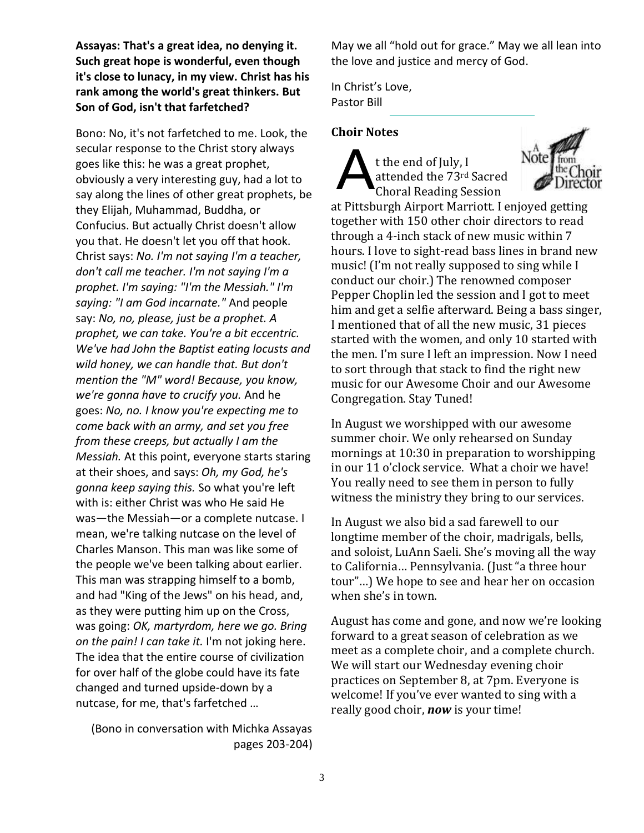**Assayas: That's a great idea, no denying it. Such great hope is wonderful, even though it's close to lunacy, in my view. Christ has his rank among the world's great thinkers. But Son of God, isn't that farfetched?**

Bono: No, it's not farfetched to me. Look, the secular response to the Christ story always goes like this: he was a great prophet, obviously a very interesting guy, had a lot to say along the lines of other great prophets, be they Elijah, Muhammad, Buddha, or Confucius. But actually Christ doesn't allow you that. He doesn't let you off that hook. Christ says: *No. I'm not saying I'm a teacher, don't call me teacher. I'm not saying I'm a prophet. I'm saying: "I'm the Messiah." I'm saying: "I am God incarnate."* And people say: *No, no, please, just be a prophet. A prophet, we can take. You're a bit eccentric. We've had John the Baptist eating locusts and wild honey, we can handle that. But don't mention the "M" word! Because, you know, we're gonna have to crucify you.* And he goes: *No, no. I know you're expecting me to come back with an army, and set you free from these creeps, but actually I am the Messiah.* At this point, everyone starts staring at their shoes, and says: *Oh, my God, he's gonna keep saying this.* So what you're left with is: either Christ was who He said He was—the Messiah—or a complete nutcase. I mean, we're talking nutcase on the level of Charles Manson. This man was like some of the people we've been talking about earlier. This man was strapping himself to a bomb, and had "King of the Jews" on his head, and, as they were putting him up on the Cross, was going: *OK, martyrdom, here we go. Bring on the pain! I can take it.* I'm not joking here. The idea that the entire course of civilization for over half of the globe could have its fate changed and turned upside-down by a nutcase, for me, that's farfetched …

(Bono in conversation with Michka Assayas pages 203-204)

May we all "hold out for grace." May we all lean into the love and justice and mercy of God.

In Christ's Love, Pastor Bill

### **Choir Notes**

t the end of July, I attended the 73rd Sacred Choral Reading Session A



at Pittsburgh Airport Marriott. I enjoyed getting together with 150 other choir directors to read through a 4-inch stack of new music within 7 hours. I love to sight-read bass lines in brand new music! (I'm not really supposed to sing while I conduct our choir.) The renowned composer Pepper Choplin led the session and I got to meet him and get a selfie afterward. Being a bass singer, I mentioned that of all the new music, 31 pieces started with the women, and only 10 started with the men. I'm sure I left an impression. Now I need to sort through that stack to find the right new music for our Awesome Choir and our Awesome Congregation. Stay Tuned!

In August we worshipped with our awesome summer choir. We only rehearsed on Sunday mornings at 10:30 in preparation to worshipping in our 11 o'clock service. What a choir we have! You really need to see them in person to fully witness the ministry they bring to our services.

In August we also bid a sad farewell to our longtime member of the choir, madrigals, bells, and soloist, LuAnn Saeli. She's moving all the way to California… Pennsylvania. (Just "a three hour tour"…) We hope to see and hear her on occasion when she's in town.

August has come and gone, and now we're looking forward to a great season of celebration as we meet as a complete choir, and a complete church. We will start our Wednesday evening choir practices on September 8, at 7pm. Everyone is welcome! If you've ever wanted to sing with a really good choir, *now* is your time!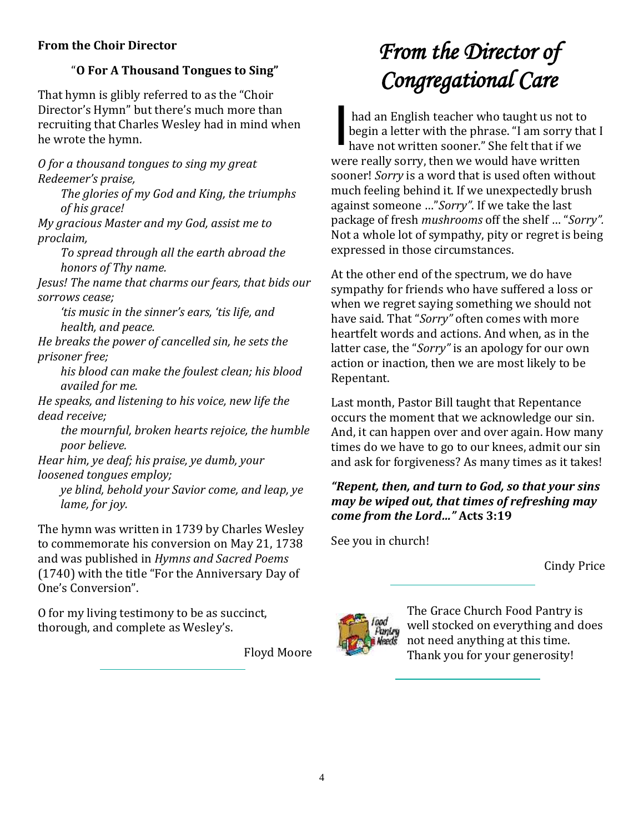## **From the Choir Director**

# "**O For A Thousand Tongues to Sing"**

That hymn is glibly referred to as the "Choir Director's Hymn" but there's much more than recruiting that Charles Wesley had in mind when he wrote the hymn.

*O for a thousand tongues to sing my great Redeemer's praise,*

> *The glories of my God and King, the triumphs of his grace!*

*My gracious Master and my God, assist me to proclaim,*

*To spread through all the earth abroad the honors of Thy name.*

*Jesus! The name that charms our fears, that bids our sorrows cease;*

*'tis music in the sinner's ears, 'tis life, and health, and peace.*

*He breaks the power of cancelled sin, he sets the prisoner free;*

*his blood can make the foulest clean; his blood availed for me.*

*He speaks, and listening to his voice, new life the dead receive;*

*the mournful, broken hearts rejoice, the humble poor believe.*

*Hear him, ye deaf; his praise, ye dumb, your loosened tongues employ;*

*ye blind, behold your Savior come, and leap, ye lame, for joy.*

The hymn was written in 1739 by Charles Wesley to commemorate his conversion on May 21, 1738 and was published in *Hymns and Sacred Poems*  (1740) with the title "For the Anniversary Day of One's Conversion".

O for my living testimony to be as succinct, thorough, and complete as Wesley's.

Floyd Moore

# *From the Director of Congregational Care*

had an English teacher who taught us not to begin a letter with the phrase. "I am sorry that I have not written sooner." She felt that if we were really sorry, then we would have written sooner! *Sorry* is a word that is used often without much feeling behind it. If we unexpectedly brush against someone …"*Sorry"*. If we take the last package of fresh *mushrooms* off the shelf … "*Sorry".*  Not a whole lot of sympathy, pity or regret is being expressed in those circumstances. I

At the other end of the spectrum, we do have sympathy for friends who have suffered a loss or when we regret saying something we should not have said. That "*Sorry"* often comes with more heartfelt words and actions. And when, as in the latter case, the "*Sorry"* is an apology for our own action or inaction, then we are most likely to be Repentant.

Last month, Pastor Bill taught that Repentance occurs the moment that we acknowledge our sin. And, it can happen over and over again. How many times do we have to go to our knees, admit our sin and ask for forgiveness? As many times as it takes!

*"Repent, then, and turn to God, so that your sins may be wiped out, that times of refreshing may come from the Lord…"* **Acts 3:19** 

See you in church!

Cindy Price



The Grace Church Food Pantry is well stocked on everything and does not need anything at this time. Thank you for your generosity!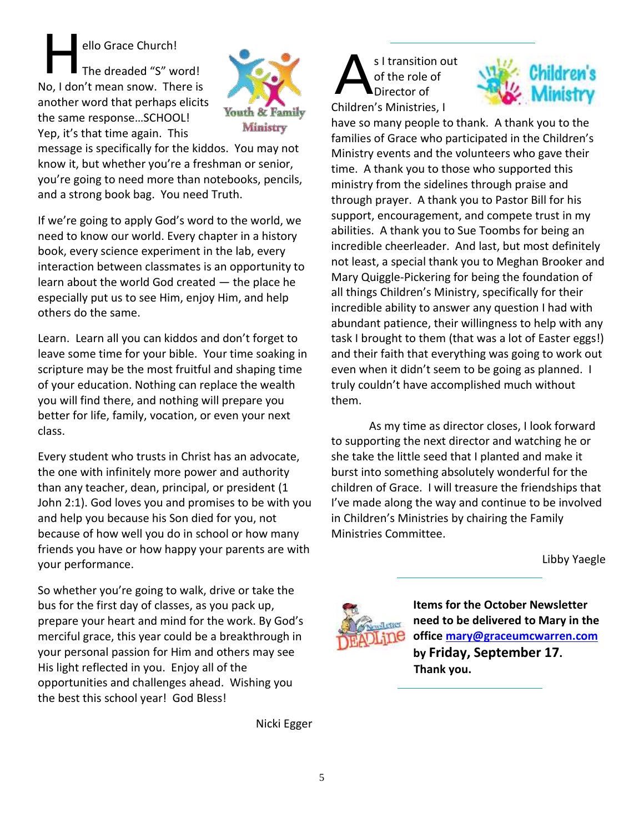ello Grace Church!

The dreaded "S" word! No, I don't mean snow. There is another word that perhaps elicits the same response…SCHOOL! Yep, it's that time again. This ello Grace Church!<br>The dreaded "S" word!<br>Jo, I don't mean snow. There is



message is specifically for the kiddos. You may not know it, but whether you're a freshman or senior, you're going to need more than notebooks, pencils, and a strong book bag. You need Truth.

If we're going to apply God's word to the world, we need to know our world. Every chapter in a history book, every science experiment in the lab, every interaction between classmates is an opportunity to learn about the world God created — the place he especially put us to see Him, enjoy Him, and help others do the same.

Learn. Learn all you can kiddos and don't forget to leave some time for your bible. Your time soaking in scripture may be the most fruitful and shaping time of your education. Nothing can replace the wealth you will find there, and nothing will prepare you better for life, family, vocation, or even your next class.

Every student who trusts in Christ has an advocate, the one with infinitely more power and authority than any teacher, dean, principal, or president (1 John 2:1). God loves you and promises to be with you and help you because his Son died for you, not because of how well you do in school or how many friends you have or how happy your parents are with your performance.

So whether you're going to walk, drive or take the bus for the first day of classes, as you pack up, prepare your heart and mind for the work. By God's merciful grace, this year could be a breakthrough in your personal passion for Him and others may see His light reflected in you. Enjoy all of the opportunities and challenges ahead. Wishing you the best this school year! God Bless!

Nicki Egger

s I transition out of the role of Director of Children's Ministries, I



have so many people to thank. A thank you to the families of Grace who participated in the Children's Ministry events and the volunteers who gave their time. A thank you to those who supported this ministry from the sidelines through praise and through prayer. A thank you to Pastor Bill for his support, encouragement, and compete trust in my abilities. A thank you to Sue Toombs for being an incredible cheerleader. And last, but most definitely not least, a special thank you to Meghan Brooker and Mary Quiggle-Pickering for being the foundation of all things Children's Ministry, specifically for their incredible ability to answer any question I had with abundant patience, their willingness to help with any task I brought to them (that was a lot of Easter eggs!) and their faith that everything was going to work out even when it didn't seem to be going as planned. I truly couldn't have accomplished much without them.

As my time as director closes, I look forward to supporting the next director and watching he or she take the little seed that I planted and make it burst into something absolutely wonderful for the children of Grace. I will treasure the friendships that I've made along the way and continue to be involved in Children's Ministries by chairing the Family Ministries Committee.

Libby Yaegle



**Items for the October Newsletter need to be delivered to Mary in the office [mary@graceumcwarren.com](mailto:mary@graceumcwarren.com) by Friday, September 17. Thank you.**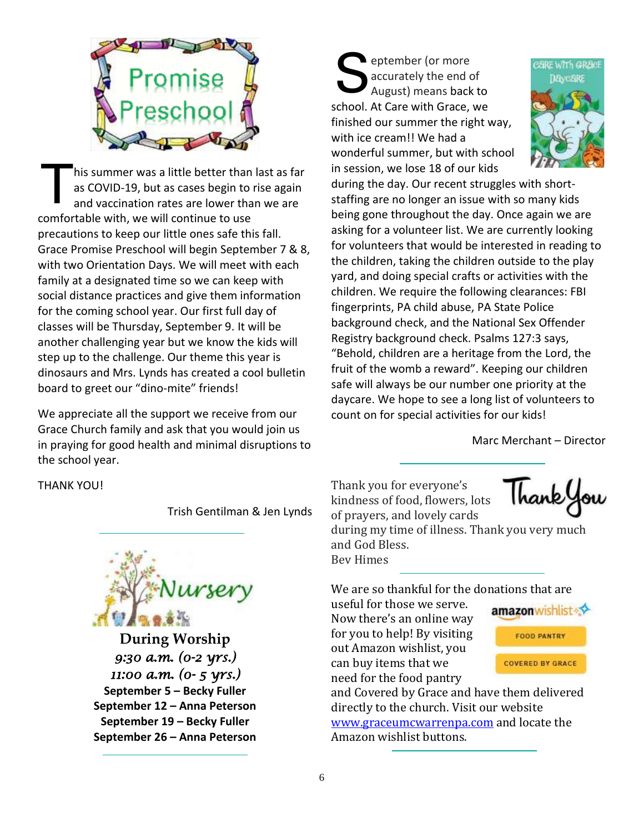

his summer was a little better than last as far as COVID-19, but as cases begin to rise again and vaccination rates are lower than we are comfortable with, we will continue to use precautions to keep our little ones safe this fall. Grace Promise Preschool will begin September 7 & 8, with two Orientation Days. We will meet with each family at a designated time so we can keep with social distance practices and give them information for the coming school year. Our first full day of classes will be Thursday, September 9. It will be another challenging year but we know the kids will step up to the challenge. Our theme this year is dinosaurs and Mrs. Lynds has created a cool bulletin board to greet our "dino-mite" friends! T

We appreciate all the support we receive from our Grace Church family and ask that you would join us in praying for good health and minimal disruptions to the school year.

eptember (or more accurately the end of August) means back to school. At Care with Grace, we finished our summer the right way, with ice cream!! We had a wonderful summer, but with school in session, we lose 18 of our kids S



during the day. Our recent struggles with shortstaffing are no longer an issue with so many kids being gone throughout the day. Once again we are asking for a volunteer list. We are currently looking for volunteers that would be interested in reading to the children, taking the children outside to the play yard, and doing special crafts or activities with the children. We require the following clearances: FBI fingerprints, PA child abuse, PA State Police background check, and the National Sex Offender Registry background check. Psalms 127:3 says, "Behold, children are a heritage from the Lord, the fruit of the womb a reward". Keeping our children safe will always be our number one priority at the daycare. We hope to see a long list of volunteers to count on for special activities for our kids!

Marc Merchant – Director

THANK YOU!

Trish Gentilman & Jen Lynds



**During Worship** *9:30 a.m. (0-2 yrs.) 11:00 a.m. (0- 5 yrs.)*  **September 5 – Becky Fuller September 12 – Anna Peterson September 19 – Becky Fuller September 26 – Anna Peterson** Thank you for everyone's kindness of food, flowers, lots of prayers, and lovely cards

lhank

during my time of illness. Thank you very much and God Bless. Bev Himes

We are so thankful for the donations that are

useful for those we serve. Now there's an online way for you to help! By visiting out Amazon wishlist, you can buy items that we need for the food pantry



and Covered by Grace and have them delivered directly to the church. Visit our website [www.graceumcwarrenpa.com](http://www.graceumcwarrenpa.com/) and locate the Amazon wishlist buttons.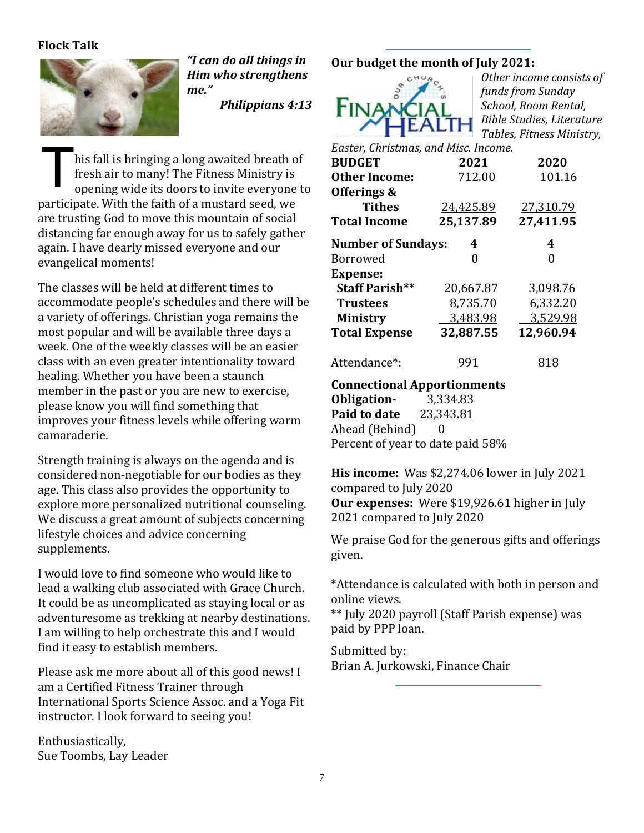## **Flock Talk**



*"I can do all things in Him who strengthens me."*

*Philippians 4:13*

his fall is bringing a long awaited breath of fresh air to many! The Fitness Ministry is opening wide its doors to invite everyone to participate. With the faith of a mustard seed, we are trusting God to move this mountain of social distancing far enough away for us to safely gather again. I have dearly missed everyone and our evangelical moments! T

The classes will be held at different times to accommodate people's schedules and there will be a variety of offerings. Christian yoga remains the most popular and will be available three days a week. One of the weekly classes will be an easier class with an even greater intentionality toward healing. Whether you have been a staunch member in the past or you are new to exercise, please know you will find something that improves your fitness levels while offering warm camaraderie.

Strength training is always on the agenda and is considered non-negotiable for our bodies as they age. This class also provides the opportunity to explore more personalized nutritional counseling. We discuss a great amount of subjects concerning lifestyle choices and advice concerning supplements.

I would love to find someone who would like to lead a walking club associated with Grace Church. It could be as uncomplicated as staying local or as adventuresome as trekking at nearby destinations. I am willing to help orchestrate this and I would find it easy to establish members.

Please ask me more about all of this good news! I am a Certified Fitness Trainer through International Sports Science Assoc. and a Yoga Fit instructor. I look forward to seeing you!

Enthusiastically, Sue Toombs, Lay Leader

## **Our budget the month of July 2021:**



*Other income consists of funds from Sunday School, Room Rental, Bible Studies, Literature Tables, Fitness Ministry,* 

*Easter, Christmas, and Misc. Income.*

| <b>BUDGET</b>             | 2021      | 2020      |  |  |
|---------------------------|-----------|-----------|--|--|
| <b>Other Income:</b>      | 712.00    | 101.16    |  |  |
| Offerings &               |           |           |  |  |
| <b>Tithes</b>             | 24,425.89 | 27,310.79 |  |  |
| <b>Total Income</b>       | 25,137.89 | 27,411.95 |  |  |
| <b>Number of Sundays:</b> | 4         | 4         |  |  |
| <b>Borrowed</b>           |           | 0         |  |  |
| <b>Expense:</b>           |           |           |  |  |
| <b>Staff Parish**</b>     | 20,667.87 | 3,098.76  |  |  |
| <b>Trustees</b>           | 8,735.70  | 6,332.20  |  |  |
| <b>Ministry</b>           | 3,483.98  | 3,529.98  |  |  |
| <b>Total Expense</b>      | 32,887.55 | 12,960.94 |  |  |
| Attendance*:              | 991       | 818       |  |  |

#### **Connectional Apportionments**

**Obligation-** 3,334.83 **Paid to date** 23,343.81 Ahead (Behind) 0 Percent of year to date paid 58%

**His income:** Was \$2,274.06 lower in July 2021 compared to July 2020 **Our expenses:** Were \$19,926.61 higher in July 2021 compared to July 2020

We praise God for the generous gifts and offerings given.

\*Attendance is calculated with both in person and online views.

\*\* July 2020 payroll (Staff Parish expense) was paid by PPP loan.

Submitted by: Brian A. Jurkowski, Finance Chair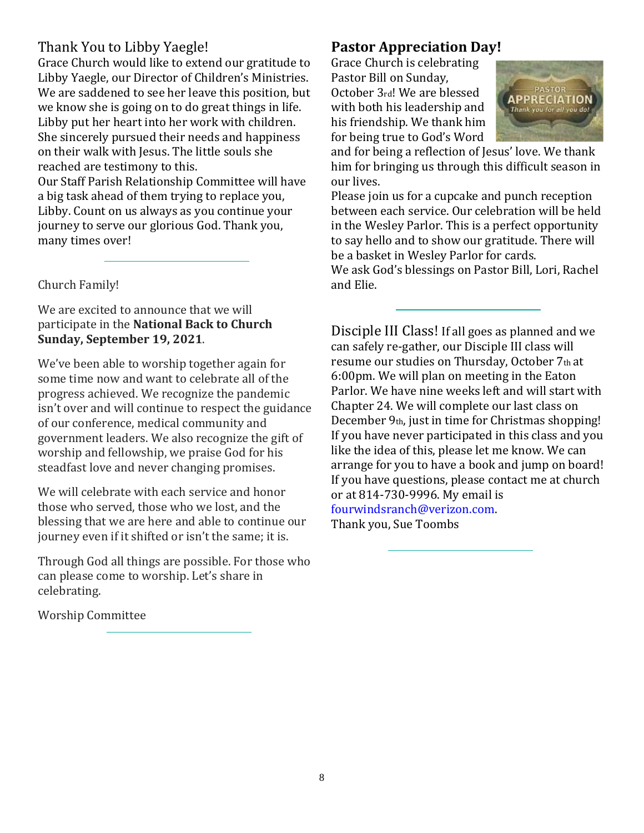# Thank You to Libby Yaegle!

Grace Church would like to extend our gratitude to Libby Yaegle, our Director of Children's Ministries. We are saddened to see her leave this position, but we know she is going on to do great things in life. Libby put her heart into her work with children. She sincerely pursued their needs and happiness on their walk with Jesus. The little souls she reached are testimony to this.

Our Staff Parish Relationship Committee will have a big task ahead of them trying to replace you, Libby. Count on us always as you continue your journey to serve our glorious God. Thank you, many times over!

### Church Family!

### We are excited to announce that we will participate in the **National Back to Church Sunday, September 19, 2021**.

We've been able to worship together again for some time now and want to celebrate all of the progress achieved. We recognize the pandemic isn't over and will continue to respect the guidance of our conference, medical community and government leaders. We also recognize the gift of worship and fellowship, we praise God for his steadfast love and never changing promises.

We will celebrate with each service and honor those who served, those who we lost, and the blessing that we are here and able to continue our journey even if it shifted or isn't the same; it is.

Through God all things are possible. For those who can please come to worship. Let's share in celebrating.

Worship Committee

# **Pastor Appreciation Day!**

Grace Church is celebrating Pastor Bill on Sunday, October 3rd! We are blessed with both his leadership and his friendship. We thank him for being true to God's Word



and for being a reflection of Jesus' love. We thank him for bringing us through this difficult season in our lives.

Please join us for a cupcake and punch reception between each service. Our celebration will be held in the Wesley Parlor. This is a perfect opportunity to say hello and to show our gratitude. There will be a basket in Wesley Parlor for cards.

We ask God's blessings on Pastor Bill, Lori, Rachel and Elie.

Disciple III Class! If all goes as planned and we can safely re-gather, our Disciple III class will resume our studies on Thursday, October 7th at 6:00pm. We will plan on meeting in the Eaton Parlor. We have nine weeks left and will start with Chapter 24. We will complete our last class on December 9th, just in time for Christmas shopping! If you have never participated in this class and you like the idea of this, please let me know. We can arrange for you to have a book and jump on board! If you have questions, please contact me at church or at 814-730-9996. My email is fourwindsranch@verizon.com.

Thank you, Sue Toombs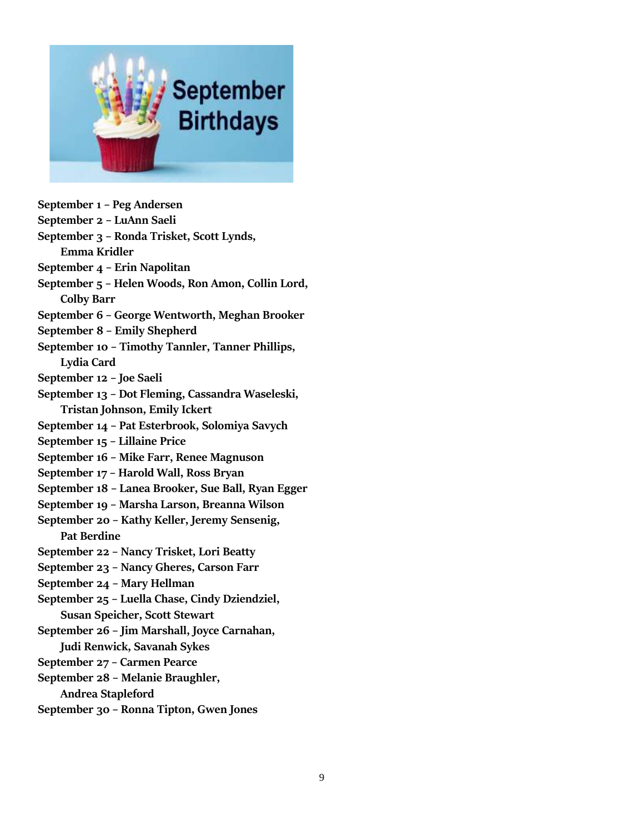

**September 1 – Peg Andersen September 2 – LuAnn Saeli September 3 – Ronda Trisket, Scott Lynds, Emma Kridler September 4 – Erin Napolitan September 5 – Helen Woods, Ron Amon, Collin Lord, Colby Barr September 6 – George Wentworth, Meghan Brooker September 8 – Emily Shepherd September 10 – Timothy Tannler, Tanner Phillips, Lydia Card September 12 – Joe Saeli September 13 – Dot Fleming, Cassandra Waseleski, Tristan Johnson, Emily Ickert September 14 – Pat Esterbrook, Solomiya Savych September 15 – Lillaine Price September 16 – Mike Farr, Renee Magnuson September 17 – Harold Wall, Ross Bryan September 18 – Lanea Brooker, Sue Ball, Ryan Egger September 19 – Marsha Larson, Breanna Wilson September 20 – Kathy Keller, Jeremy Sensenig, Pat Berdine September 22 – Nancy Trisket, Lori Beatty September 23 – Nancy Gheres, Carson Farr September 24 – Mary Hellman September 25 – Luella Chase, Cindy Dziendziel, Susan Speicher, Scott Stewart September 26 – Jim Marshall, Joyce Carnahan, Judi Renwick, Savanah Sykes September 27 – Carmen Pearce September 28 – Melanie Braughler,** 

**Andrea Stapleford**

**September 30 – Ronna Tipton, Gwen Jones**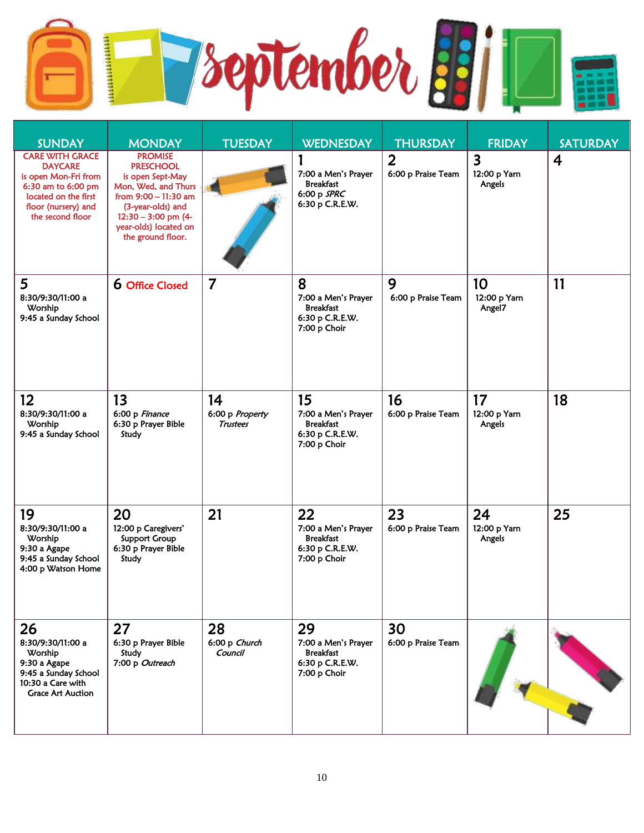| <b>SUNDAY</b>                                                                                                                                             | <b>MONDAY</b>                                                                                                                                                                                       | <b>TUESDAY</b>                           | <b>WEDNESDAY</b>                                                                 | <b>THURSDAY</b>                      | <b>FRIDAY</b>                                     | <b>SATURDAY</b> |
|-----------------------------------------------------------------------------------------------------------------------------------------------------------|-----------------------------------------------------------------------------------------------------------------------------------------------------------------------------------------------------|------------------------------------------|----------------------------------------------------------------------------------|--------------------------------------|---------------------------------------------------|-----------------|
| <b>CARE WITH GRACE</b><br><b>DAYCARE</b><br>is open Mon-Fri from<br>6:30 am to 6:00 pm<br>located on the first<br>floor (nursery) and<br>the second floor | <b>PROMISE</b><br><b>PRESCHOOL</b><br>is open Sept-May<br>Mon, Wed, and Thurs<br>from $9:00 - 11:30$ am<br>(3-year-olds) and<br>$12:30 - 3:00$ pm (4-<br>year-olds) located on<br>the ground floor. |                                          | 7:00 a Men's Prayer<br><b>Breakfast</b><br>6:00 p $SPRC$<br>6:30 p C.R.E.W.      | $\overline{2}$<br>6:00 p Praise Team | $\overline{\mathbf{3}}$<br>12:00 p Yarn<br>Angels | $\overline{4}$  |
| 5<br>8:30/9:30/11:00 a<br>Worship<br>9:45 a Sunday School                                                                                                 | <b>6 Office Closed</b>                                                                                                                                                                              | $\overline{7}$                           | 8<br>7:00 a Men's Prayer<br><b>Breakfast</b><br>6:30 p C.R.E.W.<br>7:00 p Choir  | 9<br>6:00 p Praise Team              | 10<br>12:00 p Yarn<br>Angel7                      | 11              |
| 12<br>8:30/9:30/11:00 a<br>Worship<br>9:45 a Sunday School                                                                                                | 13<br>6:00 p Finance<br>6:30 p Prayer Bible<br>Study                                                                                                                                                | 14<br>6:00 p Property<br><b>Trustees</b> | 15<br>7:00 a Men's Prayer<br><b>Breakfast</b><br>6:30 p C.R.E.W.<br>7:00 p Choir | 16<br>6:00 p Praise Team             | 17<br>12:00 p Yarn<br>Angels                      | 18              |
| 19<br>8:30/9:30/11:00 a<br>Worship<br>9:30 a Agape<br>9:45 a Sunday School<br>4:00 p Watson Home                                                          | 20<br>12:00 p Caregivers'<br><b>Support Group</b><br>6:30 p Prayer Bible<br>Study                                                                                                                   | 21                                       | 22<br>7:00 a Men's Prayer<br><b>Breakfast</b><br>6:30 p C.R.E.W.<br>7:00 p Choir | 23<br>6:00 p Praise Team             | 24<br>12:00 p Yarn<br>Angels                      | 25              |
| 26<br>8:30/9:30/11:00 a<br>Worship<br>9:30 a Agape<br>9:45 a Sunday School<br>10:30 a Care with<br><b>Grace Art Auction</b>                               | 27<br>6:30 p Prayer Bible<br>Study<br>7:00 p Outreach                                                                                                                                               | 28<br>6:00 p Church<br>Council           | 29<br>7:00 a Men's Prayer<br><b>Breakfast</b><br>6:30 p C.R.E.W.<br>7:00 p Choir | 30<br>6:00 p Praise Team             |                                                   |                 |